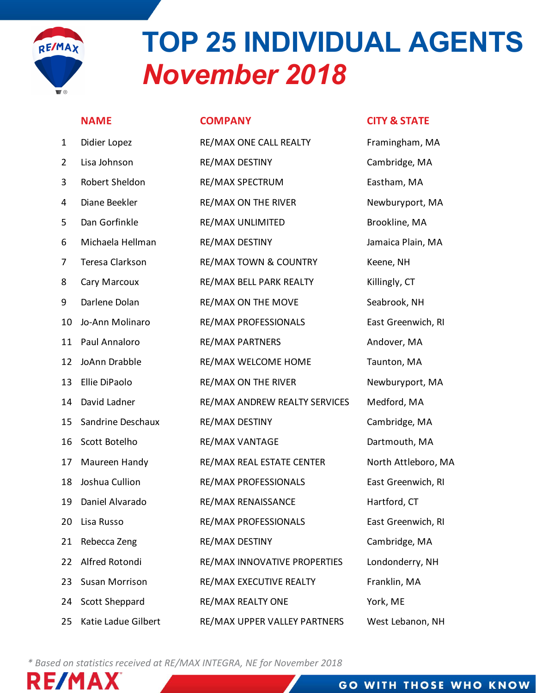

# TOP 25 INDIVIDUAL AGENTS November 2018 NAME COMPANY CITY & STATE 1 DIGIEF LOPE **10 DIDIN AL AGENTS<br>
NOVEMBER 2018**<br>
NAME<br>
1 Didier Lopez RE/MAX ONE CALL REALTY Framingham, MA<br>
2 Lisa Johnson RE/MAX DESTINY Cambridge, MA<br>
3 Robert Sheldon RE/MAX SPECTRUM<br>
4 Diane Beekler RE/MAX ON THE RI

|                | <b>November 2018</b><br><b>I</b> ® |                                  |                         |  |  |  |  |  |  |
|----------------|------------------------------------|----------------------------------|-------------------------|--|--|--|--|--|--|
|                | <b>NAME</b>                        | <b>COMPANY</b>                   | <b>CITY &amp; STATE</b> |  |  |  |  |  |  |
| $\mathbf{1}$   | Didier Lopez                       | RE/MAX ONE CALL REALTY           | Framingham, MA          |  |  |  |  |  |  |
| $\overline{2}$ | Lisa Johnson                       | RE/MAX DESTINY                   | Cambridge, MA           |  |  |  |  |  |  |
| 3              | Robert Sheldon                     | RE/MAX SPECTRUM                  | Eastham, MA             |  |  |  |  |  |  |
| 4              | Diane Beekler                      | <b>RE/MAX ON THE RIVER</b>       | Newburyport, MA         |  |  |  |  |  |  |
| 5              | Dan Gorfinkle                      | RE/MAX UNLIMITED                 | Brookline, MA           |  |  |  |  |  |  |
| 6              | Michaela Hellman                   | RE/MAX DESTINY                   | Jamaica Plain, MA       |  |  |  |  |  |  |
| 7              | Teresa Clarkson                    | <b>RE/MAX TOWN &amp; COUNTRY</b> | Keene, NH               |  |  |  |  |  |  |
| 8              | Cary Marcoux                       | RE/MAX BELL PARK REALTY          | Killingly, CT           |  |  |  |  |  |  |
| 9              | Darlene Dolan                      | RE/MAX ON THE MOVE               | Seabrook, NH            |  |  |  |  |  |  |
| 10             | Jo-Ann Molinaro                    | RE/MAX PROFESSIONALS             | East Greenwich, RI      |  |  |  |  |  |  |
| 11             | Paul Annaloro                      | <b>RE/MAX PARTNERS</b>           | Andover, MA             |  |  |  |  |  |  |
| 12             | JoAnn Drabble                      | RE/MAX WELCOME HOME              | Taunton, MA             |  |  |  |  |  |  |
| 13             | Ellie DiPaolo                      | <b>RE/MAX ON THE RIVER</b>       | Newburyport, MA         |  |  |  |  |  |  |
| 14             | David Ladner                       | RE/MAX ANDREW REALTY SERVICES    | Medford, MA             |  |  |  |  |  |  |
| 15             | Sandrine Deschaux                  | RE/MAX DESTINY                   | Cambridge, MA           |  |  |  |  |  |  |
| 16             | Scott Botelho                      | <b>RE/MAX VANTAGE</b>            | Dartmouth, MA           |  |  |  |  |  |  |
| 17             | Maureen Handy                      | RE/MAX REAL ESTATE CENTER        | North Attleboro, MA     |  |  |  |  |  |  |
| 18             | Joshua Cullion                     | RE/MAX PROFESSIONALS             | East Greenwich, RI      |  |  |  |  |  |  |
| 19             | Daniel Alvarado                    | RE/MAX RENAISSANCE               | Hartford, CT            |  |  |  |  |  |  |
| 20             | Lisa Russo                         | RE/MAX PROFESSIONALS             | East Greenwich, RI      |  |  |  |  |  |  |
| 21             | Rebecca Zeng                       | RE/MAX DESTINY                   | Cambridge, MA           |  |  |  |  |  |  |
| 22             | Alfred Rotondi                     | RE/MAX INNOVATIVE PROPERTIES     | Londonderry, NH         |  |  |  |  |  |  |
| 23             | Susan Morrison                     | RE/MAX EXECUTIVE REALTY          | Franklin, MA            |  |  |  |  |  |  |
| 24             | Scott Sheppard                     | RE/MAX REALTY ONE                | York, ME                |  |  |  |  |  |  |
| 25             | Katie Ladue Gilbert                | RE/MAX UPPER VALLEY PARTNERS     | West Lebanon, NH        |  |  |  |  |  |  |

\* Based on statistics received at RE/MAX INTEGRA, NE for November 2018